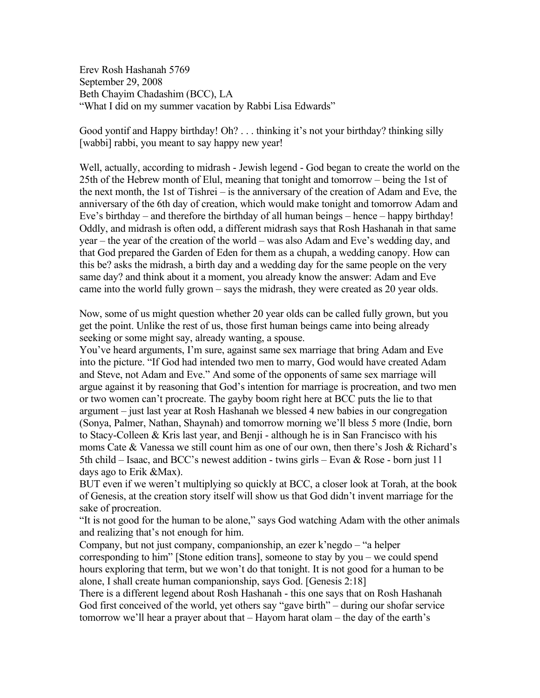Erev Rosh Hashanah 5769 September 29, 2008 Beth Chayim Chadashim (BCC), LA "What I did on my summer vacation by Rabbi Lisa Edwards"

Good yontif and Happy birthday! Oh? . . . thinking it's not your birthday? thinking silly [wabbi] rabbi, you meant to say happy new year!

Well, actually, according to midrash - Jewish legend - God began to create the world on the 25th of the Hebrew month of Elul, meaning that tonight and tomorrow – being the 1st of the next month, the 1st of Tishrei – is the anniversary of the creation of Adam and Eve, the anniversary of the 6th day of creation, which would make tonight and tomorrow Adam and Eve's birthday – and therefore the birthday of all human beings – hence – happy birthday! Oddly, and midrash is often odd, a different midrash says that Rosh Hashanah in that same year – the year of the creation of the world – was also Adam and Eve's wedding day, and that God prepared the Garden of Eden for them as a chupah, a wedding canopy. How can this be? asks the midrash, a birth day and a wedding day for the same people on the very same day? and think about it a moment, you already know the answer: Adam and Eve came into the world fully grown – says the midrash, they were created as 20 year olds.

Now, some of us might question whether 20 year olds can be called fully grown, but you get the point. Unlike the rest of us, those first human beings came into being already seeking or some might say, already wanting, a spouse.

You've heard arguments, I'm sure, against same sex marriage that bring Adam and Eve into the picture. "If God had intended two men to marry, God would have created Adam and Steve, not Adam and Eve." And some of the opponents of same sex marriage will argue against it by reasoning that God's intention for marriage is procreation, and two men or two women can't procreate. The gayby boom right here at BCC puts the lie to that argument – just last year at Rosh Hashanah we blessed 4 new babies in our congregation (Sonya, Palmer, Nathan, Shaynah) and tomorrow morning we'll bless 5 more (Indie, born to Stacy-Colleen & Kris last year, and Benji - although he is in San Francisco with his moms Cate & Vanessa we still count him as one of our own, then there's Josh & Richard's 5th child – Isaac, and BCC's newest addition - twins girls – Evan  $\&$  Rose - born just 11 days ago to Erik &Max).

BUT even if we weren't multiplying so quickly at BCC, a closer look at Torah, at the book of Genesis, at the creation story itself will show us that God didn't invent marriage for the sake of procreation.

"It is not good for the human to be alone," says God watching Adam with the other animals and realizing that's not enough for him.

Company, but not just company, companionship, an ezer k'negdo – "a helper corresponding to him" [Stone edition trans], someone to stay by you – we could spend hours exploring that term, but we won't do that tonight. It is not good for a human to be alone, I shall create human companionship, says God. [Genesis 2:18]

There is a different legend about Rosh Hashanah - this one says that on Rosh Hashanah God first conceived of the world, yet others say "gave birth" – during our shofar service tomorrow we'll hear a prayer about that – Hayom harat olam – the day of the earth's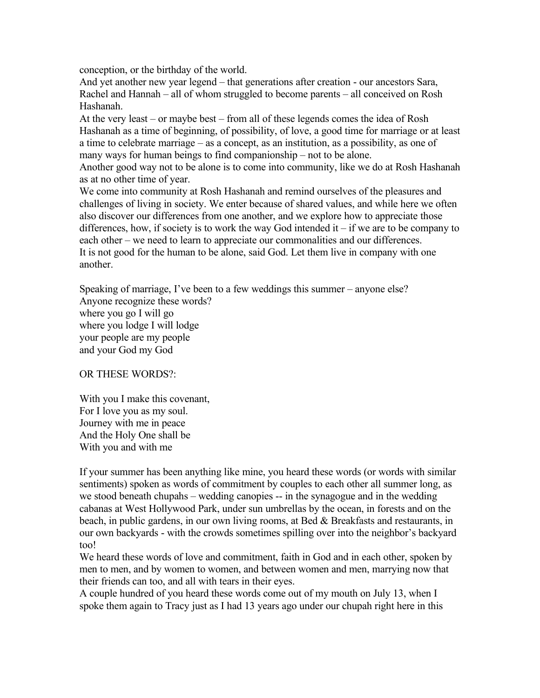conception, or the birthday of the world.

And yet another new year legend – that generations after creation - our ancestors Sara, Rachel and Hannah – all of whom struggled to become parents – all conceived on Rosh Hashanah.

At the very least – or maybe best – from all of these legends comes the idea of Rosh Hashanah as a time of beginning, of possibility, of love, a good time for marriage or at least a time to celebrate marriage – as a concept, as an institution, as a possibility, as one of many ways for human beings to find companionship – not to be alone.

Another good way not to be alone is to come into community, like we do at Rosh Hashanah as at no other time of year.

We come into community at Rosh Hashanah and remind ourselves of the pleasures and challenges of living in society. We enter because of shared values, and while here we often also discover our differences from one another, and we explore how to appreciate those differences, how, if society is to work the way God intended it – if we are to be company to each other – we need to learn to appreciate our commonalities and our differences. It is not good for the human to be alone, said God. Let them live in company with one another.

Speaking of marriage, I've been to a few weddings this summer – anyone else? Anyone recognize these words? where you go I will go where you lodge I will lodge your people are my people and your God my God

OR THESE WORDS?:

With you I make this covenant, For I love you as my soul. Journey with me in peace And the Holy One shall be With you and with me

If your summer has been anything like mine, you heard these words (or words with similar sentiments) spoken as words of commitment by couples to each other all summer long, as we stood beneath chupahs – wedding canopies -- in the synagogue and in the wedding cabanas at West Hollywood Park, under sun umbrellas by the ocean, in forests and on the beach, in public gardens, in our own living rooms, at Bed & Breakfasts and restaurants, in our own backyards - with the crowds sometimes spilling over into the neighbor's backyard too!

We heard these words of love and commitment, faith in God and in each other, spoken by men to men, and by women to women, and between women and men, marrying now that their friends can too, and all with tears in their eyes.

A couple hundred of you heard these words come out of my mouth on July 13, when I spoke them again to Tracy just as I had 13 years ago under our chupah right here in this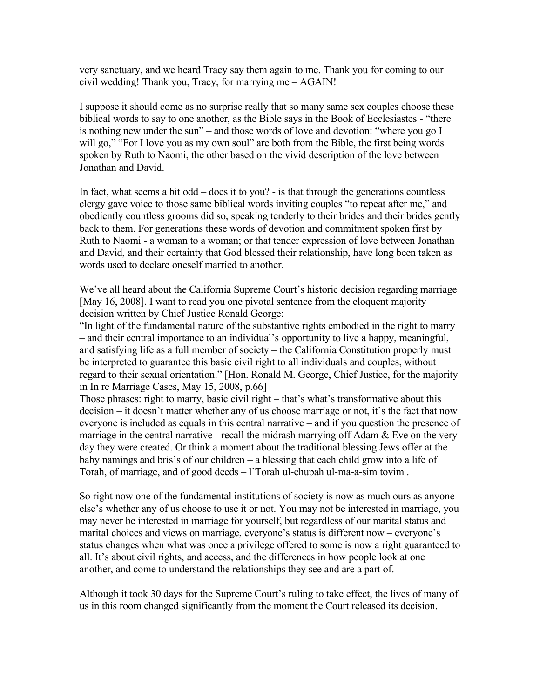very sanctuary, and we heard Tracy say them again to me. Thank you for coming to our civil wedding! Thank you, Tracy, for marrying me – AGAIN!

I suppose it should come as no surprise really that so many same sex couples choose these biblical words to say to one another, as the Bible says in the Book of Ecclesiastes - "there is nothing new under the sun" – and those words of love and devotion: "where you go I will go," "For I love you as my own soul" are both from the Bible, the first being words spoken by Ruth to Naomi, the other based on the vivid description of the love between Jonathan and David.

In fact, what seems a bit odd – does it to you? - is that through the generations countless clergy gave voice to those same biblical words inviting couples "to repeat after me," and obediently countless grooms did so, speaking tenderly to their brides and their brides gently back to them. For generations these words of devotion and commitment spoken first by Ruth to Naomi - a woman to a woman; or that tender expression of love between Jonathan and David, and their certainty that God blessed their relationship, have long been taken as words used to declare oneself married to another.

We've all heard about the California Supreme Court's historic decision regarding marriage [May 16, 2008]. I want to read you one pivotal sentence from the eloquent majority decision written by Chief Justice Ronald George:

"In light of the fundamental nature of the substantive rights embodied in the right to marry – and their central importance to an individual's opportunity to live a happy, meaningful, and satisfying life as a full member of society – the California Constitution properly must be interpreted to guarantee this basic civil right to all individuals and couples, without regard to their sexual orientation." [Hon. Ronald M. George, Chief Justice, for the majority in In re Marriage Cases, May 15, 2008, p.66]

Those phrases: right to marry, basic civil right – that's what's transformative about this decision – it doesn't matter whether any of us choose marriage or not, it's the fact that now everyone is included as equals in this central narrative – and if you question the presence of marriage in the central narrative - recall the midrash marrying off Adam  $\&$  Eve on the very day they were created. Or think a moment about the traditional blessing Jews offer at the baby namings and bris's of our children – a blessing that each child grow into a life of Torah, of marriage, and of good deeds – l'Torah ul-chupah ul-ma-a-sim tovim .

So right now one of the fundamental institutions of society is now as much ours as anyone else's whether any of us choose to use it or not. You may not be interested in marriage, you may never be interested in marriage for yourself, but regardless of our marital status and marital choices and views on marriage, everyone's status is different now – everyone's status changes when what was once a privilege offered to some is now a right guaranteed to all. It's about civil rights, and access, and the differences in how people look at one another, and come to understand the relationships they see and are a part of.

Although it took 30 days for the Supreme Court's ruling to take effect, the lives of many of us in this room changed significantly from the moment the Court released its decision.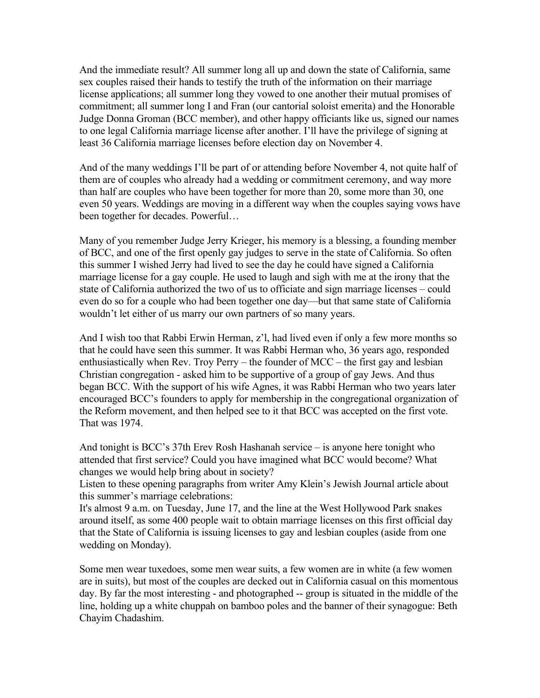And the immediate result? All summer long all up and down the state of California, same sex couples raised their hands to testify the truth of the information on their marriage license applications; all summer long they vowed to one another their mutual promises of commitment; all summer long I and Fran (our cantorial soloist emerita) and the Honorable Judge Donna Groman (BCC member), and other happy officiants like us, signed our names to one legal California marriage license after another. I'll have the privilege of signing at least 36 California marriage licenses before election day on November 4.

And of the many weddings I'll be part of or attending before November 4, not quite half of them are of couples who already had a wedding or commitment ceremony, and way more than half are couples who have been together for more than 20, some more than 30, one even 50 years. Weddings are moving in a different way when the couples saying vows have been together for decades. Powerful…

Many of you remember Judge Jerry Krieger, his memory is a blessing, a founding member of BCC, and one of the first openly gay judges to serve in the state of California. So often this summer I wished Jerry had lived to see the day he could have signed a California marriage license for a gay couple. He used to laugh and sigh with me at the irony that the state of California authorized the two of us to officiate and sign marriage licenses – could even do so for a couple who had been together one day—but that same state of California wouldn't let either of us marry our own partners of so many years.

And I wish too that Rabbi Erwin Herman, z'l, had lived even if only a few more months so that he could have seen this summer. It was Rabbi Herman who, 36 years ago, responded enthusiastically when Rev. Troy Perry – the founder of MCC – the first gay and lesbian Christian congregation - asked him to be supportive of a group of gay Jews. And thus began BCC. With the support of his wife Agnes, it was Rabbi Herman who two years later encouraged BCC's founders to apply for membership in the congregational organization of the Reform movement, and then helped see to it that BCC was accepted on the first vote. That was 1974.

And tonight is BCC's 37th Erev Rosh Hashanah service – is anyone here tonight who attended that first service? Could you have imagined what BCC would become? What changes we would help bring about in society?

Listen to these opening paragraphs from writer Amy Klein's Jewish Journal article about this summer's marriage celebrations:

It's almost 9 a.m. on Tuesday, June 17, and the line at the West Hollywood Park snakes around itself, as some 400 people wait to obtain marriage licenses on this first official day that the State of California is issuing licenses to gay and lesbian couples (aside from one wedding on Monday).

Some men wear tuxedoes, some men wear suits, a few women are in white (a few women are in suits), but most of the couples are decked out in California casual on this momentous day. By far the most interesting - and photographed -- group is situated in the middle of the line, holding up a white chuppah on bamboo poles and the banner of their synagogue: Beth Chayim Chadashim.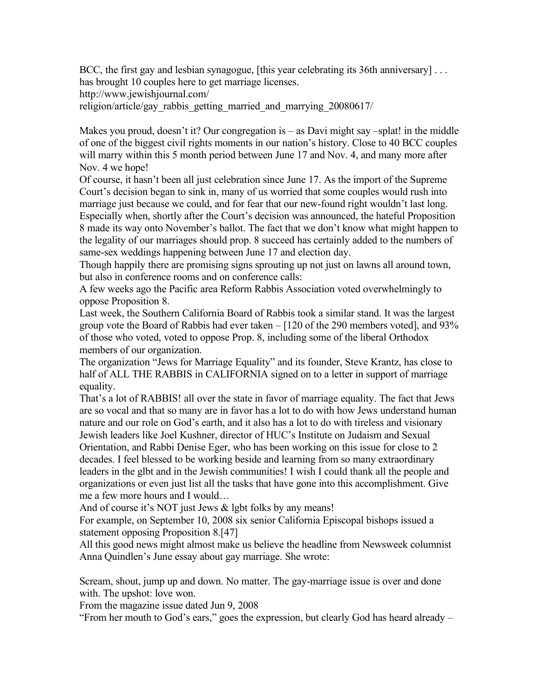BCC, the first gay and lesbian synagogue, [this year celebrating its 36th anniversary] . . . has brought 10 couples here to get marriage licenses.

http://www.jewishjournal.com/

religion/article/gay\_rabbis\_getting\_married\_and\_marrying\_20080617/

Makes you proud, doesn't it? Our congregation is – as Davi might say –splat! in the middle of one of the biggest civil rights moments in our nation's history. Close to 40 BCC couples will marry within this 5 month period between June 17 and Nov. 4, and many more after Nov. 4 we hope!

Of course, it hasn't been all just celebration since June 17. As the import of the Supreme Court's decision began to sink in, many of us worried that some couples would rush into marriage just because we could, and for fear that our new-found right wouldn't last long. Especially when, shortly after the Court's decision was announced, the hateful Proposition 8 made its way onto November's ballot. The fact that we don't know what might happen to the legality of our marriages should prop. 8 succeed has certainly added to the numbers of same-sex weddings happening between June 17 and election day.

Though happily there are promising signs sprouting up not just on lawns all around town, but also in conference rooms and on conference calls:

A few weeks ago the Pacific area Reform Rabbis Association voted overwhelmingly to oppose Proposition 8.

Last week, the Southern California Board of Rabbis took a similar stand. It was the largest group vote the Board of Rabbis had ever taken – [120 of the 290 members voted], and 93% of those who voted, voted to oppose Prop. 8, including some of the liberal Orthodox members of our organization.

The organization "Jews for Marriage Equality" and its founder, Steve Krantz, has close to half of ALL THE RABBIS in CALIFORNIA signed on to a letter in support of marriage equality.

That's a lot of RABBIS! all over the state in favor of marriage equality. The fact that Jews are so vocal and that so many are in favor has a lot to do with how Jews understand human nature and our role on God's earth, and it also has a lot to do with tireless and visionary Jewish leaders like Joel Kushner, director of HUC's Institute on Judaism and Sexual Orientation, and Rabbi Denise Eger, who has been working on this issue for close to 2 decades. I feel blessed to be working beside and learning from so many extraordinary leaders in the glbt and in the Jewish communities! I wish I could thank all the people and organizations or even just list all the tasks that have gone into this accomplishment. Give me a few more hours and I would…

And of course it's NOT just Jews & lgbt folks by any means!

For example, on September 10, 2008 six senior California Episcopal bishops issued a statement opposing Proposition 8.[47]

All this good news might almost make us believe the headline from Newsweek columnist Anna Quindlen's June essay about gay marriage. She wrote:

Scream, shout, jump up and down. No matter. The gay-marriage issue is over and done with. The upshot: love won.

From the magazine issue dated Jun 9, 2008

"From her mouth to God's ears," goes the expression, but clearly God has heard already –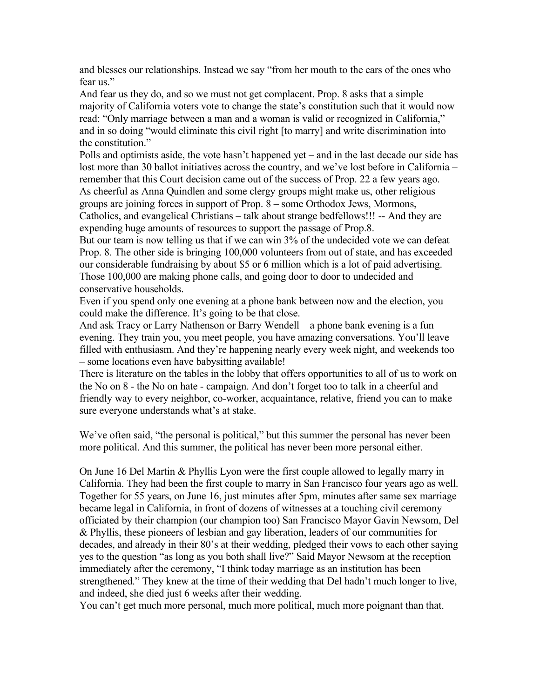and blesses our relationships. Instead we say "from her mouth to the ears of the ones who fear us"

And fear us they do, and so we must not get complacent. Prop. 8 asks that a simple majority of California voters vote to change the state's constitution such that it would now read: "Only marriage between a man and a woman is valid or recognized in California," and in so doing "would eliminate this civil right [to marry] and write discrimination into the constitution."

Polls and optimists aside, the vote hasn't happened yet – and in the last decade our side has lost more than 30 ballot initiatives across the country, and we've lost before in California – remember that this Court decision came out of the success of Prop. 22 a few years ago. As cheerful as Anna Quindlen and some clergy groups might make us, other religious groups are joining forces in support of Prop. 8 – some Orthodox Jews, Mormons, Catholics, and evangelical Christians – talk about strange bedfellows!!! -- And they are expending huge amounts of resources to support the passage of Prop.8.

But our team is now telling us that if we can win 3% of the undecided vote we can defeat Prop. 8. The other side is bringing 100,000 volunteers from out of state, and has exceeded our considerable fundraising by about \$5 or 6 million which is a lot of paid advertising. Those 100,000 are making phone calls, and going door to door to undecided and conservative households.

Even if you spend only one evening at a phone bank between now and the election, you could make the difference. It's going to be that close.

And ask Tracy or Larry Nathenson or Barry Wendell – a phone bank evening is a fun evening. They train you, you meet people, you have amazing conversations. You'll leave filled with enthusiasm. And they're happening nearly every week night, and weekends too – some locations even have babysitting available!

There is literature on the tables in the lobby that offers opportunities to all of us to work on the No on 8 - the No on hate - campaign. And don't forget too to talk in a cheerful and friendly way to every neighbor, co-worker, acquaintance, relative, friend you can to make sure everyone understands what's at stake.

We've often said, "the personal is political," but this summer the personal has never been more political. And this summer, the political has never been more personal either.

On June 16 Del Martin & Phyllis Lyon were the first couple allowed to legally marry in California. They had been the first couple to marry in San Francisco four years ago as well. Together for 55 years, on June 16, just minutes after 5pm, minutes after same sex marriage became legal in California, in front of dozens of witnesses at a touching civil ceremony officiated by their champion (our champion too) San Francisco Mayor Gavin Newsom, Del & Phyllis, these pioneers of lesbian and gay liberation, leaders of our communities for decades, and already in their 80's at their wedding, pledged their vows to each other saying yes to the question "as long as you both shall live?" Said Mayor Newsom at the reception immediately after the ceremony, "I think today marriage as an institution has been strengthened." They knew at the time of their wedding that Del hadn't much longer to live, and indeed, she died just 6 weeks after their wedding.

You can't get much more personal, much more political, much more poignant than that.